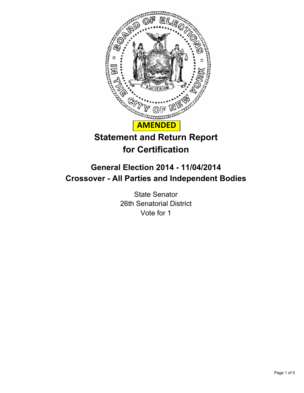

# **Statement and Return Report for Certification**

# **General Election 2014 - 11/04/2014 Crossover - All Parties and Independent Bodies**

State Senator 26th Senatorial District Vote for 1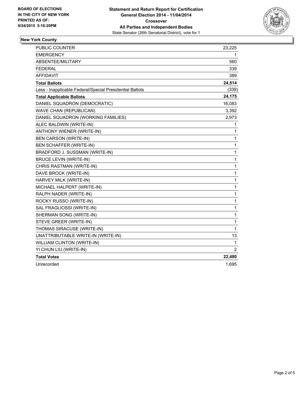

## **New York County**

| PUBLIC COUNTER                                           | 23,225         |
|----------------------------------------------------------|----------------|
| <b>EMERGENCY</b>                                         | 1              |
| <b>ABSENTEE/MILITARY</b>                                 | 560            |
| FEDERAL                                                  | 339            |
| <b>AFFIDAVIT</b>                                         | 389            |
| <b>Total Ballots</b>                                     | 24,514         |
| Less - Inapplicable Federal/Special Presidential Ballots | (339)          |
| <b>Total Applicable Ballots</b>                          | 24,175         |
| DANIEL SQUADRON (DEMOCRATIC)                             | 16,083         |
| WAVE CHAN (REPUBLICAN)                                   | 3,392          |
| DANIEL SQUADRON (WORKING FAMILIES)                       | 2,973          |
| ALEC BALDWIN (WRITE-IN)                                  | 1              |
| <b>ANTHONY WIENER (WRITE-IN)</b>                         | $\mathbf{1}$   |
| <b>BEN CARSON (WRITE-IN)</b>                             | $\mathbf{1}$   |
| BEN SCHAFFER (WRITE-IN)                                  | $\mathbf{1}$   |
| BRADFORD J. SUSSMAN (WRITE-IN)                           | $\mathbf{1}$   |
| <b>BRUCE LEVIN (WRITE-IN)</b>                            | 1              |
| CHRIS RASTMAN (WRITE-IN)                                 | 1              |
| DAVE BROCK (WRITE-IN)                                    | $\mathbf{1}$   |
| HARVEY MILK (WRITE-IN)                                   | 1              |
| MICHAEL HALPERT (WRITE-IN)                               | 1              |
| RALPH NADER (WRITE-IN)                                   | $\mathbf 1$    |
| ROCKY RUSSO (WRITE-IN)                                   | 1              |
| SAL FRAGLIOSSI (WRITE-IN)                                | 1              |
| SHERMAN SONG (WRITE-IN)                                  | $\mathbf 1$    |
| STEVE GREER (WRITE-IN)                                   | 1              |
| THOMAS SIRACUSE (WRITE-IN)                               | $\mathbf{1}$   |
| UNATTRIBUTABLE WRITE-IN (WRITE-IN)                       | 13             |
| <b>WILLIAM CLINTON (WRITE-IN)</b>                        | $\mathbf{1}$   |
| YI CHUN LIU (WRITE-IN)                                   | $\overline{2}$ |
| <b>Total Votes</b>                                       | 22,480         |
| Unrecorded                                               | 1,695          |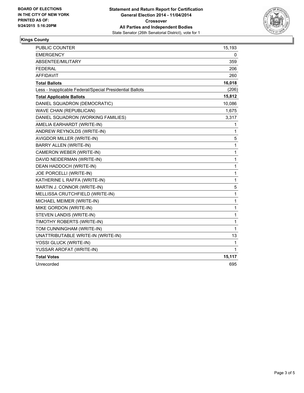

### **Kings County**

| PUBLIC COUNTER                                           | 15,193       |
|----------------------------------------------------------|--------------|
| <b>EMERGENCY</b>                                         | 0            |
| ABSENTEE/MILITARY                                        | 359          |
| FEDERAL                                                  | 206          |
| <b>AFFIDAVIT</b>                                         | 260          |
| <b>Total Ballots</b>                                     | 16,018       |
| Less - Inapplicable Federal/Special Presidential Ballots | (206)        |
| <b>Total Applicable Ballots</b>                          | 15,812       |
| DANIEL SQUADRON (DEMOCRATIC)                             | 10,086       |
| <b>WAVE CHAN (REPUBLICAN)</b>                            | 1,675        |
| DANIEL SQUADRON (WORKING FAMILIES)                       | 3,317        |
| AMELIA EARHARDT (WRITE-IN)                               | 1            |
| ANDREW REYNOLDS (WRITE-IN)                               | 1            |
| <b>AVIGDOR MILLER (WRITE-IN)</b>                         | 5            |
| BARRY ALLEN (WRITE-IN)                                   | $\mathbf{1}$ |
| CAMERON WEBER (WRITE-IN)                                 | $\mathbf 1$  |
| DAVID NEIDERMAN (WRITE-IN)                               | 1            |
| DEAN HADDOCH (WRITE-IN)                                  | $\mathbf{1}$ |
| JOE PORCELLI (WRITE-IN)                                  | $\mathbf{1}$ |
| KATHERINE L RAFFA (WRITE-IN)                             | $\mathbf{1}$ |
| MARTIN J. CONNOR (WRITE-IN)                              | 5            |
| MELLISSA CRUTCHFIELD (WRITE-IN)                          | $\mathbf{1}$ |
| MICHAEL MEIMER (WRITE-IN)                                | 1            |
| MIKE GORDON (WRITE-IN)                                   | 1            |
| STEVEN LANDIS (WRITE-IN)                                 | 1            |
| TIMOTHY ROBERTS (WRITE-IN)                               | 1            |
| TOM CUNNINGHAM (WRITE-IN)                                | $\mathbf{1}$ |
| UNATTRIBUTABLE WRITE-IN (WRITE-IN)                       | 13           |
| YOSSI GLUCK (WRITE-IN)                                   | 1            |
| YUSSAR AROFAT (WRITE-IN)                                 | 1            |
| <b>Total Votes</b>                                       | 15,117       |
| Unrecorded                                               | 695          |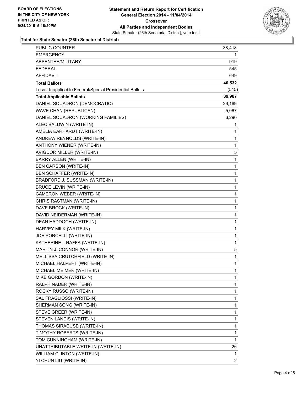

#### **Total for State Senator (26th Senatorial District)**

| <b>PUBLIC COUNTER</b>                                    | 38,418         |
|----------------------------------------------------------|----------------|
| EMERGENCY                                                | 1              |
| <b>ABSENTEE/MILITARY</b>                                 | 919            |
| <b>FEDERAL</b>                                           | 545            |
| AFFIDAVIT                                                | 649            |
| <b>Total Ballots</b>                                     | 40,532         |
| Less - Inapplicable Federal/Special Presidential Ballots | (545)          |
| <b>Total Applicable Ballots</b>                          | 39,987         |
| DANIEL SQUADRON (DEMOCRATIC)                             | 26,169         |
| WAVE CHAN (REPUBLICAN)                                   | 5,067          |
| DANIEL SQUADRON (WORKING FAMILIES)                       | 6,290          |
| ALEC BALDWIN (WRITE-IN)                                  | 1              |
| AMELIA EARHARDT (WRITE-IN)                               | 1              |
| ANDREW REYNOLDS (WRITE-IN)                               | 1              |
| ANTHONY WIENER (WRITE-IN)                                | 1              |
| AVIGDOR MILLER (WRITE-IN)                                | 5              |
| BARRY ALLEN (WRITE-IN)                                   | 1              |
| BEN CARSON (WRITE-IN)                                    | 1              |
| BEN SCHAFFER (WRITE-IN)                                  | 1              |
| BRADFORD J. SUSSMAN (WRITE-IN)                           | 1              |
| <b>BRUCE LEVIN (WRITE-IN)</b>                            | $\mathbf{1}$   |
| CAMERON WEBER (WRITE-IN)                                 | 1              |
| CHRIS RASTMAN (WRITE-IN)                                 | 1              |
| DAVE BROCK (WRITE-IN)                                    | 1              |
| DAVID NEIDERMAN (WRITE-IN)                               | 1              |
| DEAN HADDOCH (WRITE-IN)                                  | 1              |
| HARVEY MILK (WRITE-IN)                                   | 1              |
| JOE PORCELLI (WRITE-IN)                                  | 1              |
| KATHERINE L RAFFA (WRITE-IN)                             | 1              |
| MARTIN J. CONNOR (WRITE-IN)                              | 5              |
| MELLISSA CRUTCHFIELD (WRITE-IN)                          | 1              |
| MICHAEL HALPERT (WRITE-IN)                               | 1              |
| MICHAEL MEIMER (WRITE-IN)                                | 1              |
| MIKE GORDON (WRITE-IN)                                   | 1              |
| RALPH NADER (WRITE-IN)                                   | 1              |
| ROCKY RUSSO (WRITE-IN)                                   | 1              |
| SAL FRAGLIOSSI (WRITE-IN)                                | 1              |
| SHERMAN SONG (WRITE-IN)                                  | 1              |
| STEVE GREER (WRITE-IN)                                   | 1              |
| STEVEN LANDIS (WRITE-IN)                                 | 1              |
| THOMAS SIRACUSE (WRITE-IN)                               | 1              |
| TIMOTHY ROBERTS (WRITE-IN)                               | 1              |
| TOM CUNNINGHAM (WRITE-IN)                                | 1              |
| UNATTRIBUTABLE WRITE-IN (WRITE-IN)                       | 26             |
| WILLIAM CLINTON (WRITE-IN)                               | 1              |
| YI CHUN LIU (WRITE-IN)                                   | $\overline{2}$ |